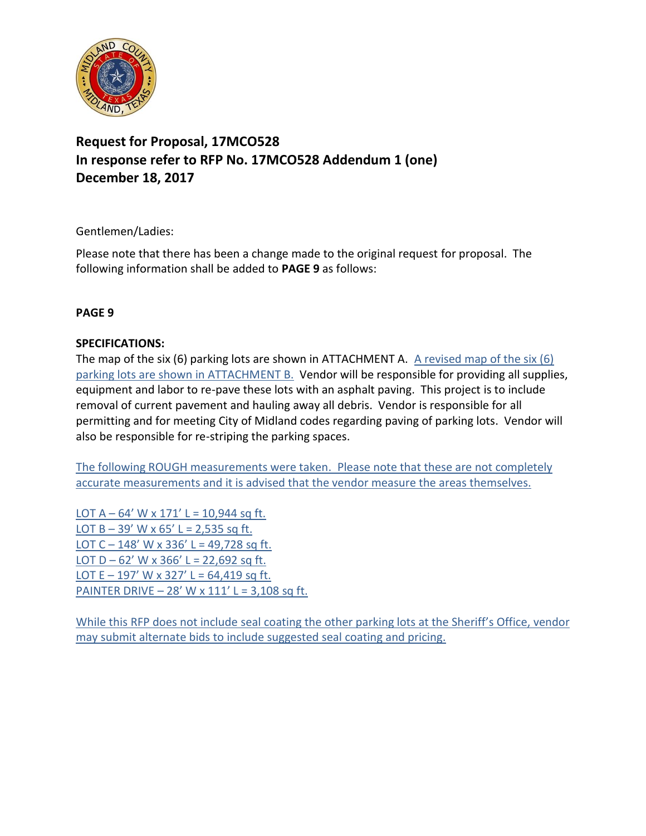

## **Request for Proposal, 17MCO528 In response refer to RFP No. 17MCO528 Addendum 1 (one) December 18, 2017**

Gentlemen/Ladies:

Please note that there has been a change made to the original request for proposal. The following information shall be added to **PAGE 9** as follows:

### **PAGE 9**

### **SPECIFICATIONS:**

The map of the six (6) parking lots are shown in ATTACHMENT A. A revised map of the six (6) parking lots are shown in ATTACHMENT B. Vendor will be responsible for providing all supplies, equipment and labor to re-pave these lots with an asphalt paving. This project is to include removal of current pavement and hauling away all debris. Vendor is responsible for all permitting and for meeting City of Midland codes regarding paving of parking lots. Vendor will also be responsible for re-striping the parking spaces.

The following ROUGH measurements were taken. Please note that these are not completely accurate measurements and it is advised that the vendor measure the areas themselves.

LOT  $A - 64'$  W x 171' L = 10,944 sq ft. LOT  $B - 39'$  W x  $65'$  L = 2,535 sq ft. LOT C – 148' W x 336' L = 49,728 sq ft. LOT  $D - 62'$  W x 366' L = 22,692 sq ft. LOT E – 197' W x 327' L = 64,419 sq ft. PAINTER DRIVE –  $28'$  W x  $111'$  L = 3,108 sq ft.

While this RFP does not include seal coating the other parking lots at the Sheriff's Office, vendor may submit alternate bids to include suggested seal coating and pricing.